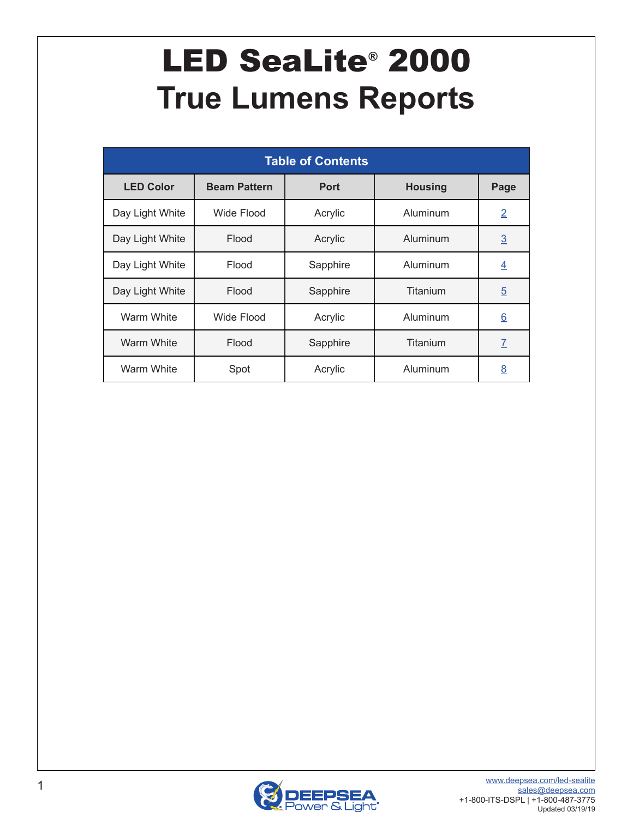# <span id="page-0-0"></span>LED SeaLite® 2000 **True Lumens Reports**

| <b>Table of Contents</b> |                     |             |                |                 |  |  |  |  |  |  |
|--------------------------|---------------------|-------------|----------------|-----------------|--|--|--|--|--|--|
| <b>LED Color</b>         | <b>Beam Pattern</b> | <b>Port</b> | <b>Housing</b> | Page            |  |  |  |  |  |  |
| Day Light White          | Wide Flood          | Acrylic     | Aluminum       | $\overline{2}$  |  |  |  |  |  |  |
| Day Light White          | Flood               | Acrylic     | Aluminum       | $\underline{3}$ |  |  |  |  |  |  |
| Day Light White          | Flood               | Sapphire    | Aluminum       | $\overline{4}$  |  |  |  |  |  |  |
| Day Light White          | Flood               | Sapphire    | Titanium       | $\overline{5}$  |  |  |  |  |  |  |
| Warm White               | Wide Flood          | Acrylic     | Aluminum       | $\underline{6}$ |  |  |  |  |  |  |
| <b>Warm White</b>        | Flood               | Sapphire    | Titanium       | $\overline{I}$  |  |  |  |  |  |  |
| <b>Warm White</b>        | Spot                | Acrylic     | Aluminum       | $\underline{8}$ |  |  |  |  |  |  |

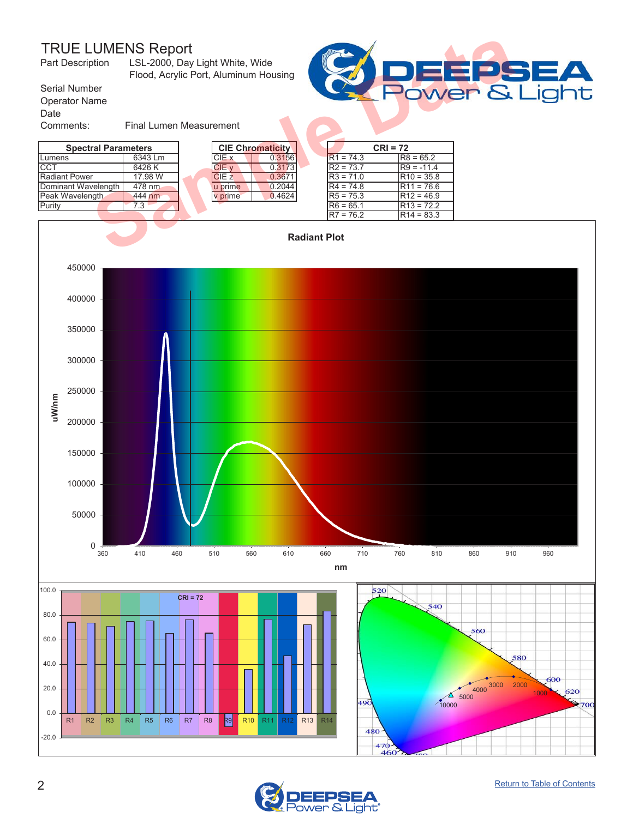<span id="page-1-0"></span>

| <b>TRUE LUMENS Report</b><br>Part Description | LSL-2000, Day Light White, Wide<br>Flood, Acrylic Port, Aluminum Housing |  |              |                         |  | EPS         |              |  |
|-----------------------------------------------|--------------------------------------------------------------------------|--|--------------|-------------------------|--|-------------|--------------|--|
| Serial Number                                 | Power &                                                                  |  |              |                         |  |             |              |  |
| <b>Operator Name</b>                          |                                                                          |  |              |                         |  |             |              |  |
| Date                                          |                                                                          |  |              |                         |  |             |              |  |
| Comments:                                     | <b>Final Lumen Measurement</b>                                           |  |              |                         |  |             |              |  |
| <b>Spectral Parameters</b>                    |                                                                          |  |              | <b>CIE Chromaticity</b> |  | $CRI = 72$  |              |  |
| Lumens                                        | 6343 Lm                                                                  |  | CIE x        | 0.3156                  |  | $R1 = 74.3$ | $R8 = 65.2$  |  |
| <b>CCT</b>                                    | 6426K                                                                    |  | CIE v        | 0.3173                  |  | $R2 = 73.7$ | $R9 = -11.4$ |  |
| <b>Radiant Power</b>                          | 17.98 W                                                                  |  | <b>CIE z</b> | 0.3671                  |  | $R3 = 71.0$ | $R10 = 35.8$ |  |
| Dominant Wavelength                           | 478 nm                                                                   |  | u prime      | 0.2044                  |  | $R4 = 74.8$ | $R11 = 76.6$ |  |
| Peak Wavelength                               | 444 nm                                                                   |  | v prime      | 0.4624                  |  | $R5 = 75.3$ | $R12 = 46.9$ |  |
| Purity                                        | 7.3                                                                      |  |              |                         |  | $R6 = 65.1$ | $R13 = 72.2$ |  |
|                                               |                                                                          |  |              |                         |  | $R7 = 76.2$ | $R14 = 83.3$ |  |
| <b>Radiant Plot</b>                           |                                                                          |  |              |                         |  |             |              |  |





ight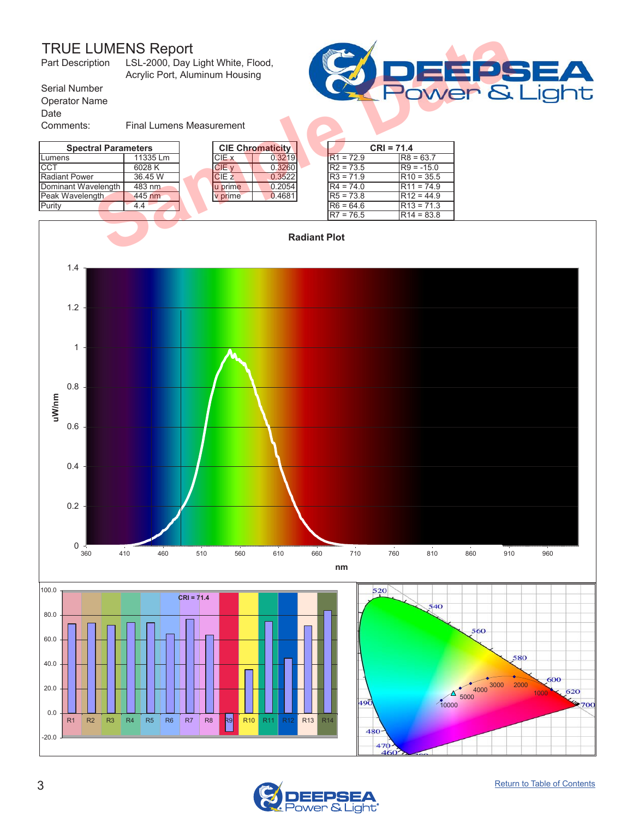<span id="page-2-0"></span>

| <b>TRUE LUMENS Report</b><br>LSL-2000, Day Light White, Flood,<br>Part Description<br>Acrylic Port, Aluminum Housing |                                 |  |              |                         |                     |             |              | E       |
|----------------------------------------------------------------------------------------------------------------------|---------------------------------|--|--------------|-------------------------|---------------------|-------------|--------------|---------|
| Serial Number                                                                                                        |                                 |  |              |                         |                     |             |              | Power & |
| <b>Operator Name</b><br>Date                                                                                         |                                 |  |              |                         |                     |             |              |         |
| Comments:                                                                                                            | <b>Final Lumens Measurement</b> |  |              |                         |                     |             |              |         |
| <b>Spectral Parameters</b>                                                                                           |                                 |  |              | <b>CIE Chromaticity</b> |                     |             | $CRI = 71.4$ |         |
| Lumens                                                                                                               | 11335 Lm                        |  | CIE x        | 0.3219                  |                     | $R1 = 72.9$ | $R8 = 63.7$  |         |
| CCT                                                                                                                  | 6028K                           |  | CIE v        | 0.3260                  |                     | $R2 = 73.5$ | $R9 = -15.0$ |         |
| <b>Radiant Power</b>                                                                                                 | 36.45 W                         |  | <b>CIE z</b> | 0.3522                  |                     | $R3 = 71.9$ | $R10 = 35.5$ |         |
| Dominant Wavelength                                                                                                  | 483 nm                          |  | u prime      | 0.2054                  |                     | $R4 = 74.0$ | $R11 = 74.9$ |         |
| Peak Wavelength                                                                                                      | 445 nm                          |  | v prime      | 0.4681                  |                     | $R5 = 73.8$ | $R12 = 44.9$ |         |
| Purity                                                                                                               | 4.4                             |  |              |                         |                     | $R6 = 64.6$ | $R13 = 71.3$ |         |
|                                                                                                                      |                                 |  |              |                         |                     | $R7 = 76.5$ | $R14 = 83.8$ |         |
|                                                                                                                      |                                 |  |              |                         | <b>Radiant Plot</b> |             |              |         |





٦Ė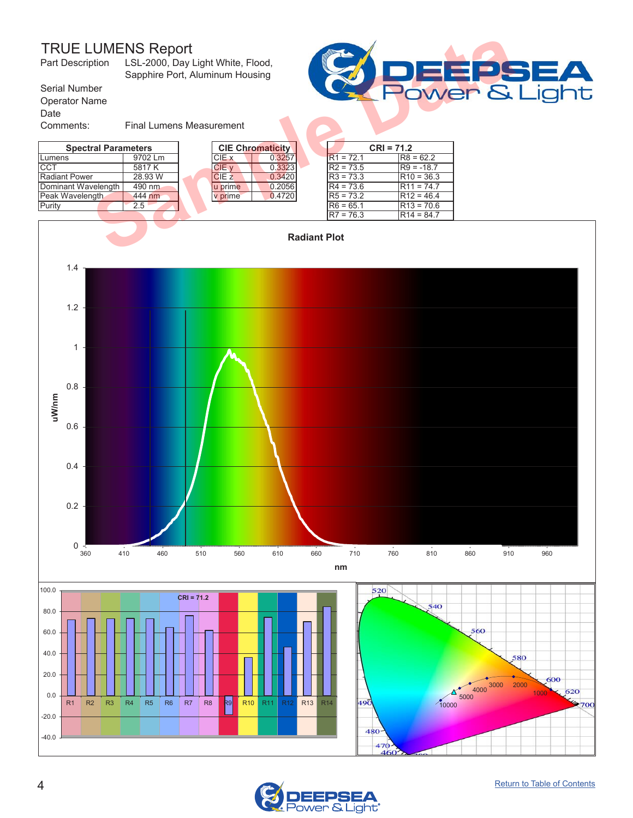<span id="page-3-0"></span>

| <b>TRUE LUMENS Report</b><br>LSL-2000, Day Light White, Flood,<br>Part Description<br>Sapphire Port, Aluminum Housing |                                 |  |                  |                         |  |             |              | <b>Second</b> |
|-----------------------------------------------------------------------------------------------------------------------|---------------------------------|--|------------------|-------------------------|--|-------------|--------------|---------------|
| Serial Number                                                                                                         | Power &                         |  |                  |                         |  |             |              |               |
| <b>Operator Name</b>                                                                                                  |                                 |  |                  |                         |  |             |              |               |
| Date                                                                                                                  |                                 |  |                  |                         |  |             |              |               |
| Comments:                                                                                                             | <b>Final Lumens Measurement</b> |  |                  |                         |  |             |              |               |
| <b>Spectral Parameters</b>                                                                                            |                                 |  |                  | <b>CIE Chromaticity</b> |  |             | $CRI = 71.2$ |               |
| Lumens                                                                                                                | 9702 Lm                         |  | CIE x            | 0.3257                  |  | $R1 = 72.1$ | $R8 = 62.2$  |               |
| <b>CCT</b>                                                                                                            | 5817 K                          |  | CIE v            | 0.3323                  |  | $R2 = 73.5$ | $R9 = -18.7$ |               |
| <b>Radiant Power</b>                                                                                                  | 28.93 W                         |  | CIE <sub>z</sub> | 0.3420                  |  | $R3 = 73.3$ | $R10 = 36.3$ |               |
| Dominant Wavelength                                                                                                   | 490 nm                          |  | u prime          | 0.2056                  |  | $R4 = 73.6$ | $R11 = 74.7$ |               |
| Peak Wavelength                                                                                                       | 444 nm                          |  | v prime          | 0.4720                  |  | $RS = 73.2$ | $R12 = 46.4$ |               |
| Purity                                                                                                                | 2.5                             |  |                  |                         |  | $R6 = 65.1$ | $R13 = 70.6$ |               |
|                                                                                                                       |                                 |  |                  |                         |  | $R7 = 76.3$ | $R14 = 84.7$ |               |
| <b>Radiant Plot</b>                                                                                                   |                                 |  |                  |                         |  |             |              |               |





ight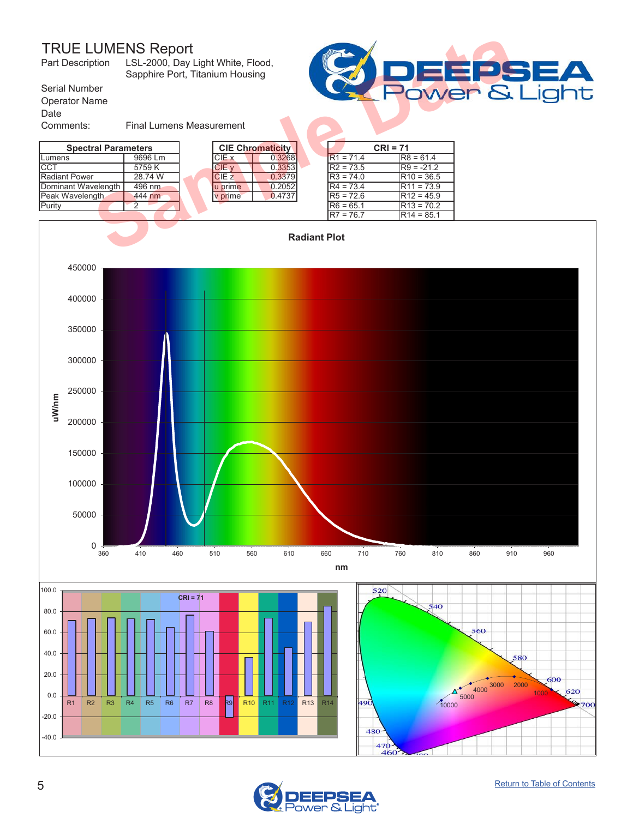<span id="page-4-0"></span>

| Part Description                              | <b>TRUE LUMENS Report</b><br>LSL-2000, Day Light White, Flood,<br>Sapphire Port, Titanium Housing |  |              |                         |                     |             |            |              | E       |
|-----------------------------------------------|---------------------------------------------------------------------------------------------------|--|--------------|-------------------------|---------------------|-------------|------------|--------------|---------|
| Serial Number<br><b>Operator Name</b><br>Date |                                                                                                   |  |              |                         |                     |             |            |              | Power & |
| Comments:                                     | <b>Final Lumens Measurement</b>                                                                   |  |              |                         |                     |             |            |              |         |
| <b>Spectral Parameters</b>                    |                                                                                                   |  |              | <b>CIE Chromaticity</b> |                     |             | $CRI = 71$ |              |         |
| Lumens                                        | 9696 Lm                                                                                           |  | CIE x        | 0.3268                  |                     | $R1 = 71.4$ |            | $R8 = 61.4$  |         |
| CCT                                           | 5759K                                                                                             |  | CIE v        | 0.3353                  |                     | $R2 = 73.5$ |            | $R9 = -21.2$ |         |
| <b>Radiant Power</b>                          | 28.74 W                                                                                           |  | <b>CIE z</b> | 0.3379                  |                     | $R3 = 74.0$ |            | $R10 = 36.5$ |         |
| Dominant Wavelength                           | 496 nm                                                                                            |  | u prime      | 0.2052                  |                     | $R4 = 73.4$ |            | $R11 = 73.9$ |         |
| Peak Wavelength                               | 444 nm                                                                                            |  | v prime      | 0.4737                  |                     | $R5 = 72.6$ |            | $R12 = 45.9$ |         |
| Purity                                        | 2                                                                                                 |  |              |                         |                     | $R6 = 65.1$ |            | $R13 = 70.2$ |         |
|                                               |                                                                                                   |  |              |                         |                     | $R7 = 76.7$ |            | $R14 = 85.1$ |         |
|                                               |                                                                                                   |  |              |                         | <b>Radiant Plot</b> |             |            |              |         |





٦t

iah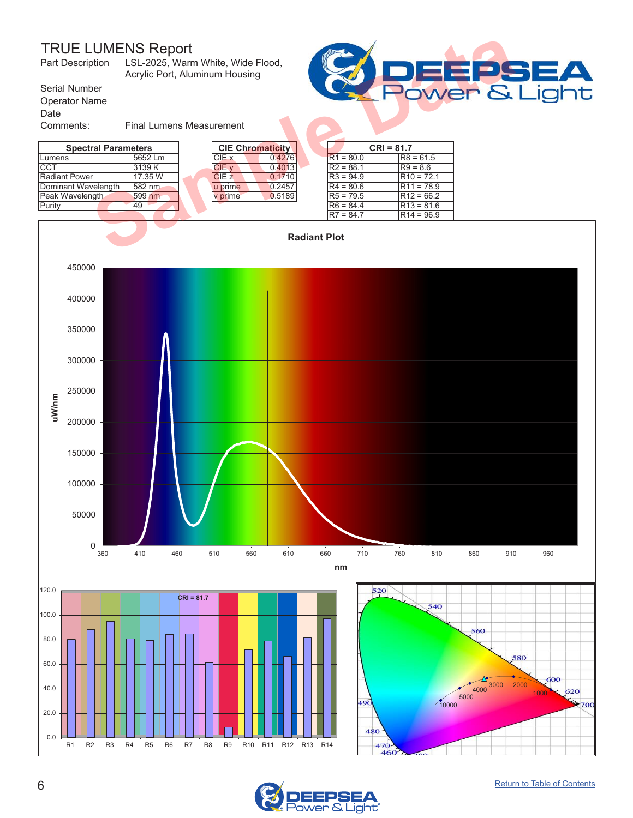

<span id="page-5-0"></span>

| <b>TRUE LUMENS Report</b><br>Part Description<br>LSL-2025, Warm White, Wide Flood,<br>Acrylic Port, Aluminum Housing |                                 |  |         |                         |  |             |                    | H |
|----------------------------------------------------------------------------------------------------------------------|---------------------------------|--|---------|-------------------------|--|-------------|--------------------|---|
| Serial Number                                                                                                        |                                 |  |         |                         |  |             | <b>POWER &amp;</b> |   |
| <b>Operator Name</b>                                                                                                 |                                 |  |         |                         |  |             |                    |   |
| Date                                                                                                                 |                                 |  |         |                         |  |             |                    |   |
| Comments:                                                                                                            | <b>Final Lumens Measurement</b> |  |         |                         |  |             |                    |   |
| <b>Spectral Parameters</b>                                                                                           |                                 |  |         | <b>CIE Chromaticity</b> |  |             | $CRI = 81.7$       |   |
| Lumens                                                                                                               | 5652 Lm                         |  | CIE x   | 0.4276                  |  | $R1 = 80.0$ | $R8 = 61.5$        |   |
| ICCT                                                                                                                 | 3139 K                          |  | CIE v   | 0.4013                  |  | $R2 = 88.1$ | $R9 = 8.6$         |   |
| <b>Radiant Power</b>                                                                                                 | 17.35 W                         |  | CIEZ    | 0.1710                  |  | $R3 = 94.9$ | $R10 = 72.1$       |   |
| Dominant Wavelength                                                                                                  | 582 nm                          |  | u prime | 0.2457                  |  | $R4 = 80.6$ | $R11 = 78.9$       |   |
| Peak Wavelength                                                                                                      | 599 nm                          |  | v prime | 0.5189                  |  | $RS = 79.5$ | $R12 = 66.2$       |   |
| Purity                                                                                                               | 49                              |  |         |                         |  | $R6 = 84.4$ | $R13 = 81.6$       |   |
|                                                                                                                      |                                 |  |         |                         |  | $R7 = 84.7$ | $R14 = 96.9$       |   |
| <b>Radiant Plot</b>                                                                                                  |                                 |  |         |                         |  |             |                    |   |



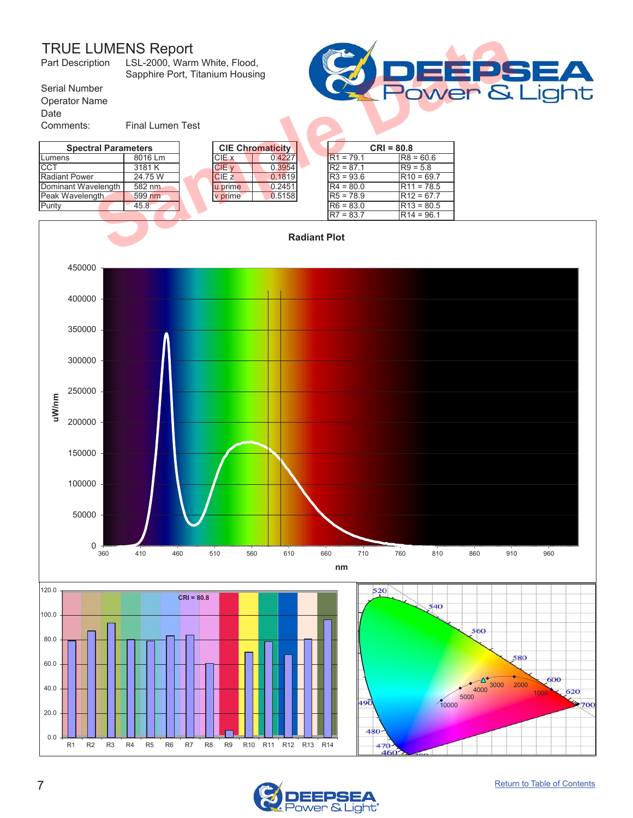| E.<br>A<br>ower & Liaht |
|-------------------------|
|                         |
|                         |

<span id="page-6-0"></span>

| <b>TRUE LUMENS Report</b><br>LSL-2000, Warm White, Flood,<br>Part Description<br>Sapphire Port, Titanium Housing |                         |  |                  |                         |             |              |  |
|------------------------------------------------------------------------------------------------------------------|-------------------------|--|------------------|-------------------------|-------------|--------------|--|
| Serial Number                                                                                                    |                         |  |                  |                         |             | Power &      |  |
| <b>Operator Name</b>                                                                                             |                         |  |                  |                         |             |              |  |
| Date                                                                                                             |                         |  |                  |                         |             |              |  |
| Comments:                                                                                                        | <b>Final Lumen Test</b> |  |                  |                         |             |              |  |
| <b>Spectral Parameters</b>                                                                                       |                         |  |                  | <b>CIE Chromaticity</b> |             | $CRI = 80.8$ |  |
| Lumens                                                                                                           | 8016 Lm                 |  | CIE x            | 0.4227                  | $R1 = 79.1$ | $R8 = 60.6$  |  |
| <b>CCT</b>                                                                                                       | 3181 K                  |  | CIE v            | 0.3954                  | $R2 = 87.1$ | $R9 = 5.8$   |  |
| <b>Radiant Power</b>                                                                                             | 24.75 W                 |  | CIE <sub>z</sub> | 0.1819                  | $R3 = 93.6$ | $R10 = 69.7$ |  |
| Dominant Wavelength                                                                                              | 582 nm                  |  | u prime          | 0.2451                  | $R4 = 80.0$ | $R11 = 78.5$ |  |
| Peak Wavelength                                                                                                  | 599 nm                  |  | v prime          | 0.5158                  | $R5 = 78.9$ | $R12 = 67.7$ |  |
| Purity                                                                                                           | 45.8                    |  |                  |                         | $R6 = 83.0$ | $R13 = 80.5$ |  |
|                                                                                                                  |                         |  |                  |                         | $R7 = 83.7$ | $R14 = 96.1$ |  |
| <b>Radiant Plot</b>                                                                                              |                         |  |                  |                         |             |              |  |